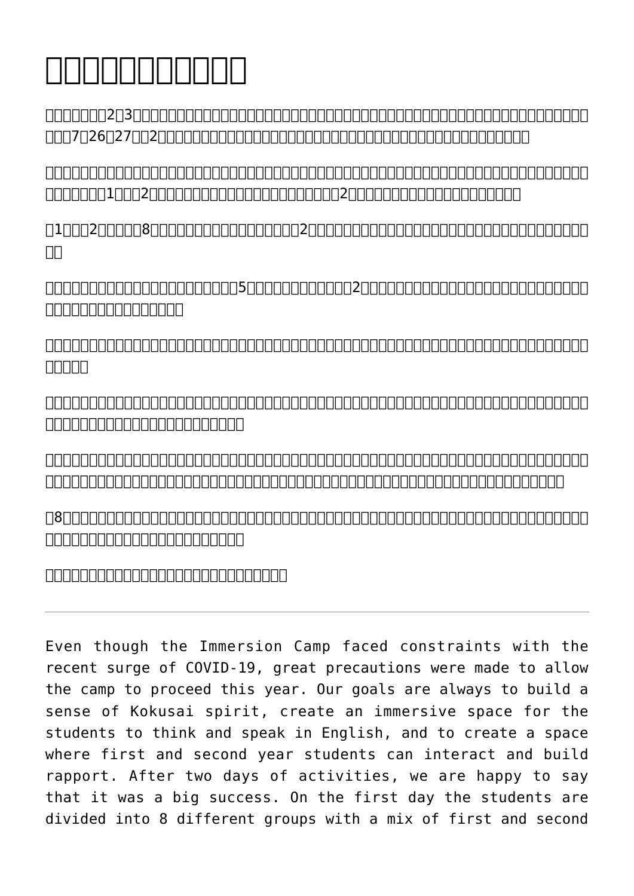## **[イマージョンデーを実施](https://kuaswwl.com/2021/07/27/%e3%82%a4%e3%83%9e%e3%83%bc%e3%82%b8%e3%83%a7%e3%83%b3%e3%83%87%e3%83%bc%e3%82%92%e5%ae%9f%e6%96%bd/)**

 例年、校外で2泊3日の英語漬けの宿泊研修を行っていたイマージョン・キャンプですが、今年は新型コロナウイルス蔓延による制約を 受け、7月26、27日の2日間、「イマージョン・デー」というスタイルに変更したプログラムを校内にて実施しました。

 このプログラムの目標は、インターナショナルな精神を築くこと、英語で考えたり話したりするための没入型(イマージョン)空間を作 ること、そして1年生と2年生が交流を通して親密な関係を築くことです。2日間のプログラムは大成功に終わりました。

 1年生、2年生混合の8つのグループに分かれた生徒たちは、2日間かけてイベントの目標を達成するためにさまざまな活動を行いまし  $\Box$ 

 初日のハイライトは、各チームが書いて演じた5分間のスキット(寸劇)と2年生がプレゼンテーションの授業で行った研究をポスター  $\begin{array}{c} \begin{array}{c} \text{minimize} \\ \text{minimize} \end{array} \end{array}$ 

 ミニ研究セミナーの今年のテーマは、外来種、日本の原子力エネルギーの将来、絶滅危惧種などで、例年以上に優れた研究成果が発表さ  $\Pi\Pi\Pi\Pi\Pi$ 

 ディベート大会も盛り上がりました。様々なチームが様々な社会的なトピックについてディベートを行い、批判的思考、証拠、使用した <u>richticher Statistiker in Statistiker in der Erste der Erste der Erste der Erste der Erste der Erste der Ers</u>

 プログラムの最後には、2年生が日本学術振興会のサイエンス・ダイアログプログラムでご来校いただいた京都大学でご研究中のバング  $\Box$ הראה המכונה החברה המכונה המכונה המכונה המכונה המכונה המכונה המכונה המכונה המכונה המכונה המכונה המכונה המכונה

 8人の外国人教員と各クラスの担任教員は、このイベントの運営に携わることができ、とても楽しい時間を過ごすことができました。ま しいはいはいいはないのはないはないない

## $\begin{bmatrix} \begin{bmatrix} \begin{bmatrix} \begin{bmatrix} \begin{bmatrix} \begin{bmatrix} \begin{bmatrix} \begin{bmatrix} \begin{bmatrix} \begin{bmatrix} \begin{bmatrix} \begin{bmatrix} \begin{bmatrix} \begin{bmatrix} \begin{bmatrix} \begin{bmatrix} \begin{bmatrix} \begin{bmatrix} \begin{bmatrix} \begin{bmatrix} \begin{bmatrix} \begin{bmatrix} \begin{bmatrix} \begin{bmatrix} \begin{bmatrix} \begin{bmatrix} \begin{bmatrix} \begin{bmatrix} \begin{bmatrix} \begin{bmatrix} \begin{bmatrix} \begin{bmatrix} \begin{bmatrix} \begin{bmatrix} \begin{bmatrix} \begin{bmatrix} \begin{b$

Even though the Immersion Camp faced constraints with the recent surge of COVID-19, great precautions were made to allow the camp to proceed this year. Our goals are always to build a sense of Kokusai spirit, create an immersive space for the students to think and speak in English, and to create a space where first and second year students can interact and build rapport. After two days of activities, we are happy to say that it was a big success. On the first day the students are divided into 8 different groups with a mix of first and second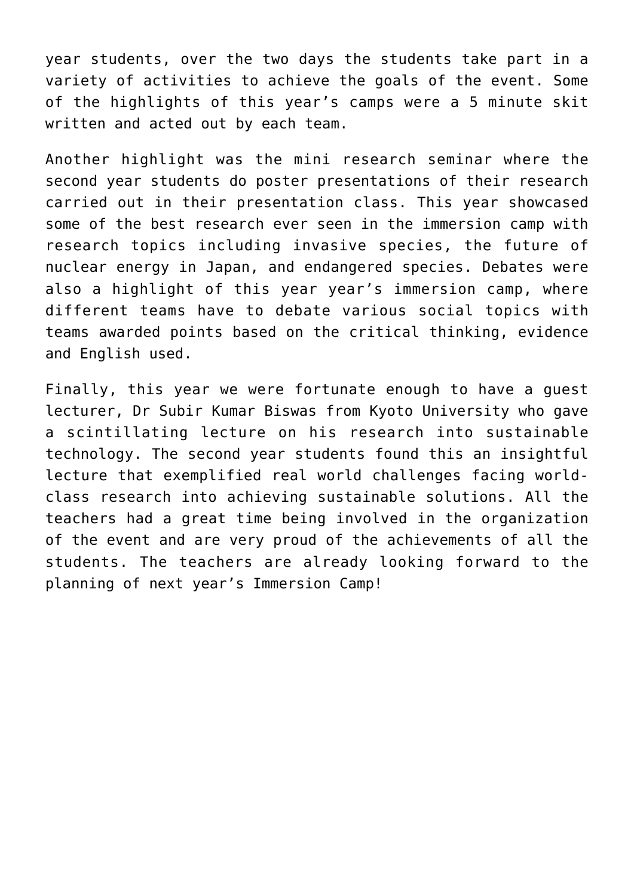year students, over the two days the students take part in a variety of activities to achieve the goals of the event. Some of the highlights of this year's camps were a 5 minute skit written and acted out by each team.

Another highlight was the mini research seminar where the second year students do poster presentations of their research carried out in their presentation class. This year showcased some of the best research ever seen in the immersion camp with research topics including invasive species, the future of nuclear energy in Japan, and endangered species. Debates were also a highlight of this year year's immersion camp, where different teams have to debate various social topics with teams awarded points based on the critical thinking, evidence and English used.

Finally, this year we were fortunate enough to have a guest lecturer, Dr Subir Kumar Biswas from Kyoto University who gave a scintillating lecture on his research into sustainable technology. The second year students found this an insightful lecture that exemplified real world challenges facing worldclass research into achieving sustainable solutions. All the teachers had a great time being involved in the organization of the event and are very proud of the achievements of all the students. The teachers are already looking forward to the planning of next year's Immersion Camp!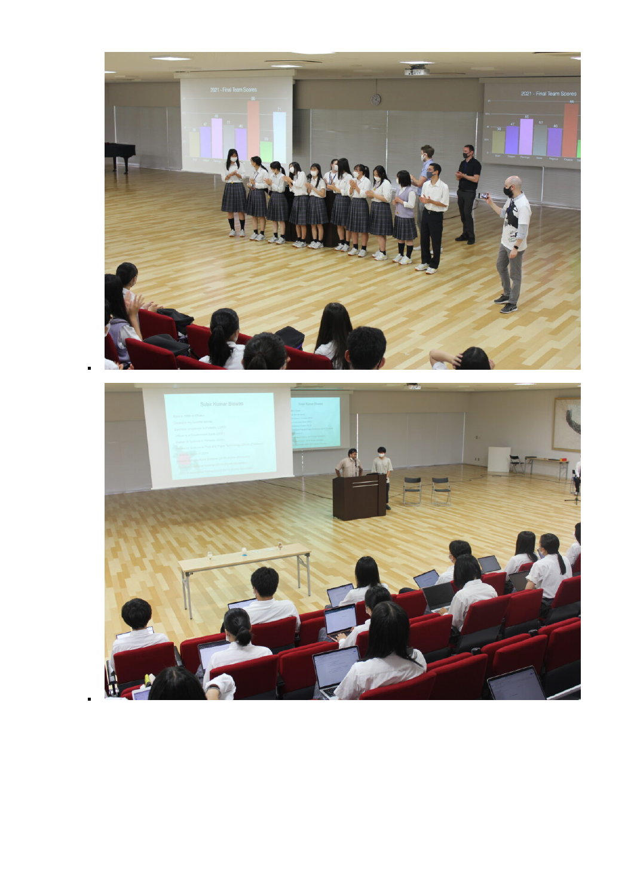



 $\blacksquare$